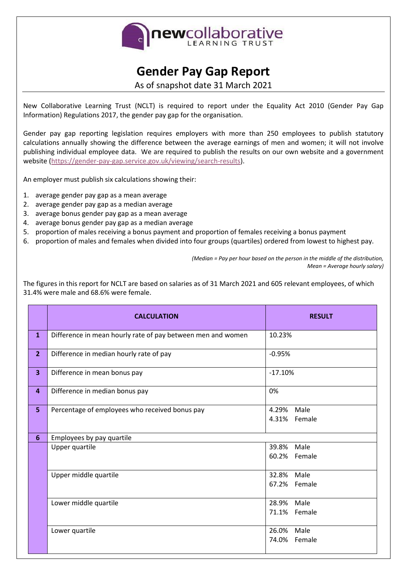

## **Gender Pay Gap Report**

As of snapshot date 31 March 2021

New Collaborative Learning Trust (NCLT) is required to report under the Equality Act 2010 (Gender Pay Gap Information) Regulations 2017, the gender pay gap for the organisation.

Gender pay gap reporting legislation requires employers with more than 250 employees to publish statutory calculations annually showing the difference between the average earnings of men and women; it will not involve publishing individual employee data. We are required to publish the results on our own website and a government website [\(https://gender-pay-gap.service.gov.uk/viewing/search-results\)](https://gender-pay-gap.service.gov.uk/viewing/search-results).

An employer must publish six calculations showing their:

- 1. average gender pay gap as a mean average
- 2. average gender pay gap as a median average
- 3. average bonus gender pay gap as a mean average
- 4. average bonus gender pay gap as a median average
- 5. proportion of males receiving a bonus payment and proportion of females receiving a bonus payment
- 6. proportion of males and females when divided into four groups (quartiles) ordered from lowest to highest pay.

*(Median = Pay per hour based on the person in the middle of the distribution, Mean = Average hourly salary)*

The figures in this report for NCLT are based on salaries as of 31 March 2021 and 605 relevant employees, of which 31.4% were male and 68.6% were female.

|                         | <b>CALCULATION</b>                                          | <b>RESULT</b>              |
|-------------------------|-------------------------------------------------------------|----------------------------|
| $\mathbf{1}$            | Difference in mean hourly rate of pay between men and women | 10.23%                     |
| 2 <sup>1</sup>          | Difference in median hourly rate of pay                     | $-0.95%$                   |
| $\overline{\mathbf{3}}$ | Difference in mean bonus pay                                | $-17.10%$                  |
| 4                       | Difference in median bonus pay                              | 0%                         |
| 5 <sub>5</sub>          | Percentage of employees who received bonus pay              | 4.29% Male<br>4.31% Female |
| 6                       | Employees by pay quartile                                   |                            |
|                         | Upper quartile                                              | Male<br>39.8%              |
|                         |                                                             | 60.2% Female               |
|                         | Upper middle quartile                                       | 32.8%<br>Male              |
|                         |                                                             | 67.2% Female               |
|                         | Lower middle quartile                                       | 28.9% Male                 |
|                         |                                                             | 71.1% Female               |
|                         | Lower quartile                                              | 26.0%<br>Male              |
|                         |                                                             | 74.0% Female               |